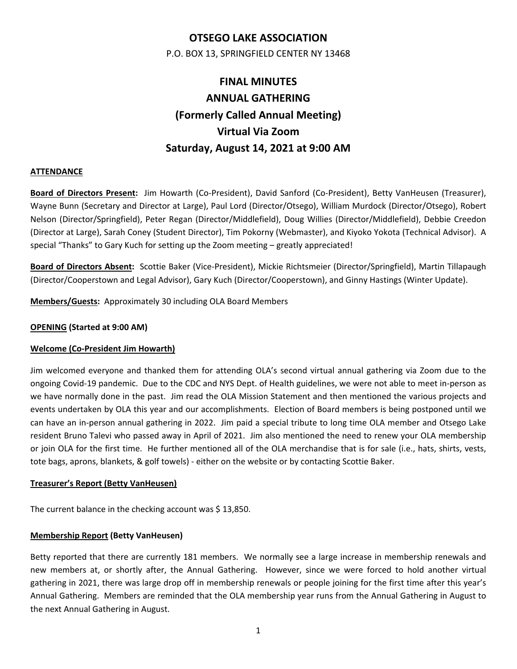# **OTSEGO LAKE ASSOCIATION**

P.O. BOX 13, SPRINGFIELD CENTER NY 13468

# **FINAL MINUTES ANNUAL GATHERING (Formerly Called Annual Meeting) Virtual Via Zoom Saturday, August 14, 2021 at 9:00 AM**

# **ATTENDANCE**

**Board of Directors Present:** Jim Howarth (Co‐President), David Sanford (Co‐President), Betty VanHeusen (Treasurer), Wayne Bunn (Secretary and Director at Large), Paul Lord (Director/Otsego), William Murdock (Director/Otsego), Robert Nelson (Director/Springfield), Peter Regan (Director/Middlefield), Doug Willies (Director/Middlefield), Debbie Creedon (Director at Large), Sarah Coney (Student Director), Tim Pokorny (Webmaster), and Kiyoko Yokota (Technical Advisor). A special "Thanks" to Gary Kuch for setting up the Zoom meeting – greatly appreciated!

**Board of Directors Absent:** Scottie Baker (Vice‐President), Mickie Richtsmeier (Director/Springfield), Martin Tillapaugh (Director/Cooperstown and Legal Advisor), Gary Kuch (Director/Cooperstown), and Ginny Hastings (Winter Update).

**Members/Guests:** Approximately 30 including OLA Board Members

## **OPENING (Started at 9:00 AM)**

# **Welcome (Co‐President Jim Howarth)**

Jim welcomed everyone and thanked them for attending OLA's second virtual annual gathering via Zoom due to the ongoing Covid‐19 pandemic. Due to the CDC and NYS Dept. of Health guidelines, we were not able to meet in‐person as we have normally done in the past. Jim read the OLA Mission Statement and then mentioned the various projects and events undertaken by OLA this year and our accomplishments. Election of Board members is being postponed until we can have an in‐person annual gathering in 2022. Jim paid a special tribute to long time OLA member and Otsego Lake resident Bruno Talevi who passed away in April of 2021. Jim also mentioned the need to renew your OLA membership or join OLA for the first time. He further mentioned all of the OLA merchandise that is for sale (i.e., hats, shirts, vests, tote bags, aprons, blankets, & golf towels) ‐ either on the website or by contacting Scottie Baker.

#### **Treasurer's Report (Betty VanHeusen)**

The current balance in the checking account was \$ 13,850.

#### **Membership Report (Betty VanHeusen)**

Betty reported that there are currently 181 members. We normally see a large increase in membership renewals and new members at, or shortly after, the Annual Gathering. However, since we were forced to hold another virtual gathering in 2021, there was large drop off in membership renewals or people joining for the first time after this year's Annual Gathering. Members are reminded that the OLA membership year runs from the Annual Gathering in August to the next Annual Gathering in August.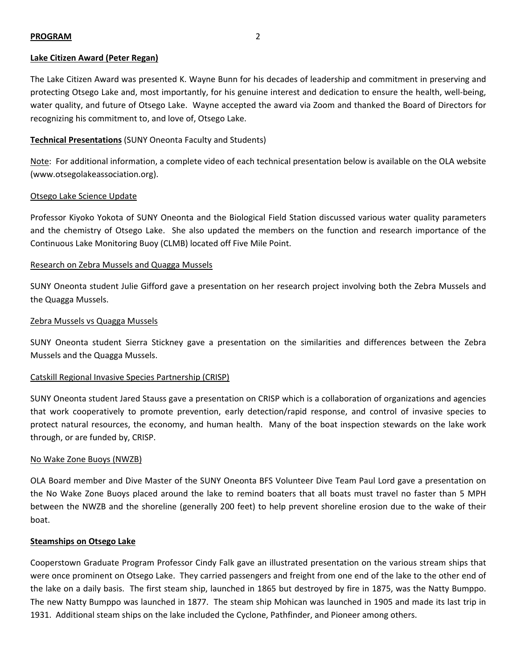#### **PROGRAM** 2

#### **Lake Citizen Award (Peter Regan)**

The Lake Citizen Award was presented K. Wayne Bunn for his decades of leadership and commitment in preserving and protecting Otsego Lake and, most importantly, for his genuine interest and dedication to ensure the health, well-being, water quality, and future of Otsego Lake. Wayne accepted the award via Zoom and thanked the Board of Directors for recognizing his commitment to, and love of, Otsego Lake.

## **Technical Presentations** (SUNY Oneonta Faculty and Students)

Note: For additional information, a complete video of each technical presentation below is available on the OLA website (www.otsegolakeassociation.org).

#### Otsego Lake Science Update

Professor Kiyoko Yokota of SUNY Oneonta and the Biological Field Station discussed various water quality parameters and the chemistry of Otsego Lake. She also updated the members on the function and research importance of the Continuous Lake Monitoring Buoy (CLMB) located off Five Mile Point.

#### Research on Zebra Mussels and Quagga Mussels

SUNY Oneonta student Julie Gifford gave a presentation on her research project involving both the Zebra Mussels and the Quagga Mussels.

#### Zebra Mussels vs Quagga Mussels

SUNY Oneonta student Sierra Stickney gave a presentation on the similarities and differences between the Zebra Mussels and the Quagga Mussels.

#### Catskill Regional Invasive Species Partnership (CRISP)

SUNY Oneonta student Jared Stauss gave a presentation on CRISP which is a collaboration of organizations and agencies that work cooperatively to promote prevention, early detection/rapid response, and control of invasive species to protect natural resources, the economy, and human health. Many of the boat inspection stewards on the lake work through, or are funded by, CRISP.

#### No Wake Zone Buoys (NWZB)

OLA Board member and Dive Master of the SUNY Oneonta BFS Volunteer Dive Team Paul Lord gave a presentation on the No Wake Zone Buoys placed around the lake to remind boaters that all boats must travel no faster than 5 MPH between the NWZB and the shoreline (generally 200 feet) to help prevent shoreline erosion due to the wake of their boat.

#### **Steamships on Otsego Lake**

Cooperstown Graduate Program Professor Cindy Falk gave an illustrated presentation on the various stream ships that were once prominent on Otsego Lake. They carried passengers and freight from one end of the lake to the other end of the lake on a daily basis. The first steam ship, launched in 1865 but destroyed by fire in 1875, was the Natty Bumppo. The new Natty Bumppo was launched in 1877. The steam ship Mohican was launched in 1905 and made its last trip in 1931. Additional steam ships on the lake included the Cyclone, Pathfinder, and Pioneer among others.